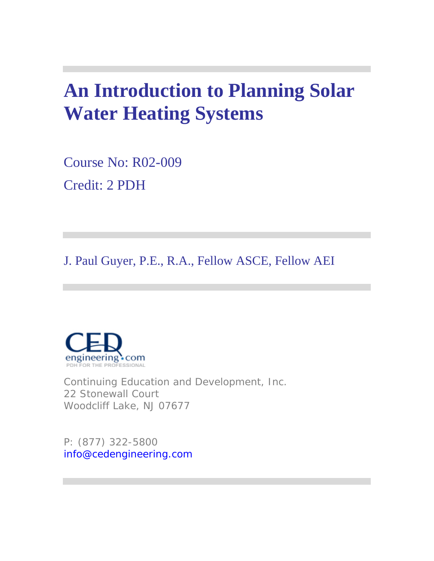## **An Introduction to Planning Solar Water Heating Systems**

Course No: R02-009 Credit: 2 PDH

J. Paul Guyer, P.E., R.A., Fellow ASCE, Fellow AEI



Continuing Education and Development, Inc. 22 Stonewall Court Woodcliff Lake, NJ 07677

P: (877) 322-5800 info@cedengineering.com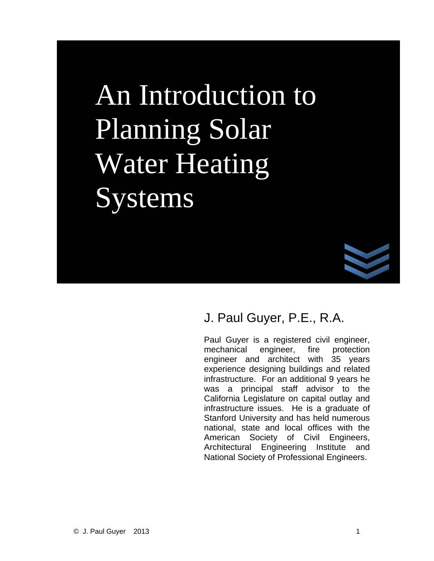# An Introduction to Planning Solar Water Heating Systems



### J. Paul Guyer, P.E., R.A.

Paul Guyer is a registered civil engineer, mechanical engineer, fire protection engineer and architect with 35 years experience designing buildings and related infrastructure. For an additional 9 years he was a principal staff advisor to the California Legislature on capital outlay and infrastructure issues. He is a graduate of Stanford University and has held numerous national, state and local offices with the American Society of Civil Engineers, Architectural Engineering Institute and National Society of Professional Engineers.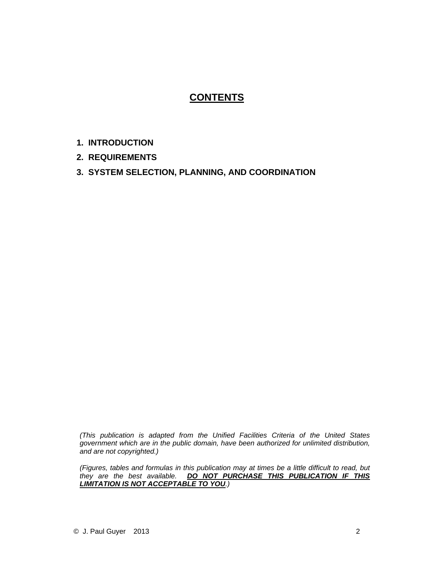#### **CONTENTS**

- **1. INTRODUCTION**
- **2. REQUIREMENTS**
- **3. SYSTEM SELECTION, PLANNING, AND COORDINATION**

*(This publication is adapted from the Unified Facilities Criteria of the United States government which are in the public domain, have been authorized for unlimited distribution, and are not copyrighted.)* 

*(Figures, tables and formulas in this publication may at times be a little difficult to read, but they are the best available. DO NOT PURCHASE THIS PUBLICATION IF THIS LIMITATION IS NOT ACCEPTABLE TO YOU.)*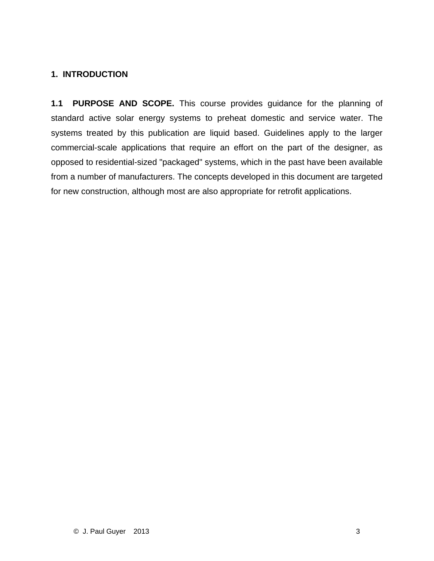#### **1. INTRODUCTION**

**1.1 PURPOSE AND SCOPE.** This course provides guidance for the planning of standard active solar energy systems to preheat domestic and service water. The systems treated by this publication are liquid based. Guidelines apply to the larger commercial-scale applications that require an effort on the part of the designer, as opposed to residential-sized "packaged" systems, which in the past have been available from a number of manufacturers. The concepts developed in this document are targeted for new construction, although most are also appropriate for retrofit applications.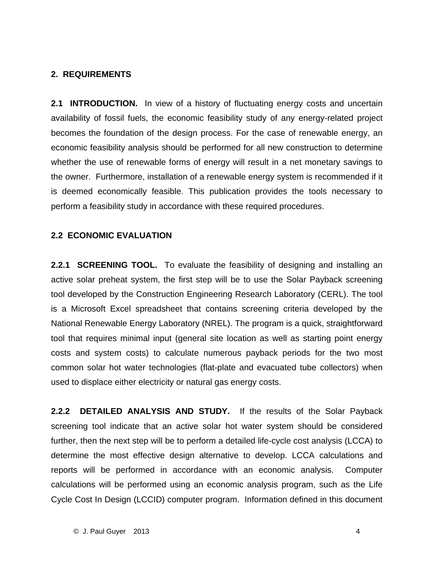#### **2. REQUIREMENTS**

**2.1 INTRODUCTION.** In view of a history of fluctuating energy costs and uncertain availability of fossil fuels, the economic feasibility study of any energy-related project becomes the foundation of the design process. For the case of renewable energy, an economic feasibility analysis should be performed for all new construction to determine whether the use of renewable forms of energy will result in a net monetary savings to the owner. Furthermore, installation of a renewable energy system is recommended if it is deemed economically feasible. This publication provides the tools necessary to perform a feasibility study in accordance with these required procedures.

#### **2.2 ECONOMIC EVALUATION**

**2.2.1 SCREENING TOOL.** To evaluate the feasibility of designing and installing an active solar preheat system, the first step will be to use the Solar Payback screening tool developed by the Construction Engineering Research Laboratory (CERL). The tool is a Microsoft Excel spreadsheet that contains screening criteria developed by the National Renewable Energy Laboratory (NREL). The program is a quick, straightforward tool that requires minimal input (general site location as well as starting point energy costs and system costs) to calculate numerous payback periods for the two most common solar hot water technologies (flat-plate and evacuated tube collectors) when used to displace either electricity or natural gas energy costs.

**2.2.2 DETAILED ANALYSIS AND STUDY.** If the results of the Solar Payback screening tool indicate that an active solar hot water system should be considered further, then the next step will be to perform a detailed life-cycle cost analysis (LCCA) to determine the most effective design alternative to develop. LCCA calculations and reports will be performed in accordance with an economic analysis. Computer calculations will be performed using an economic analysis program, such as the Life Cycle Cost In Design (LCCID) computer program. Information defined in this document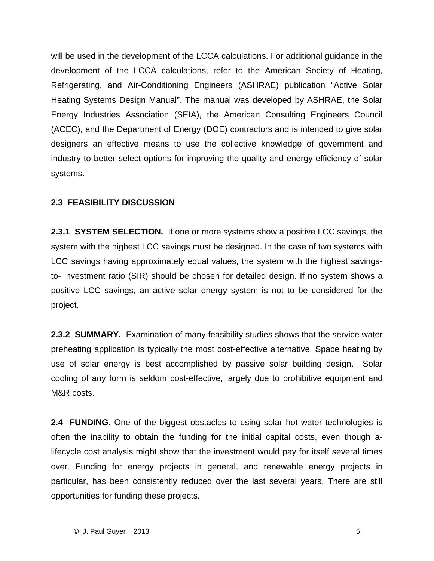will be used in the development of the LCCA calculations. For additional guidance in the development of the LCCA calculations, refer to the American Society of Heating, Refrigerating, and Air-Conditioning Engineers (ASHRAE) publication "Active Solar Heating Systems Design Manual". The manual was developed by ASHRAE, the Solar Energy Industries Association (SEIA), the American Consulting Engineers Council (ACEC), and the Department of Energy (DOE) contractors and is intended to give solar designers an effective means to use the collective knowledge of government and industry to better select options for improving the quality and energy efficiency of solar systems.

#### **2.3 FEASIBILITY DISCUSSION**

**2.3.1 SYSTEM SELECTION.** If one or more systems show a positive LCC savings, the system with the highest LCC savings must be designed. In the case of two systems with LCC savings having approximately equal values, the system with the highest savingsto- investment ratio (SIR) should be chosen for detailed design. If no system shows a positive LCC savings, an active solar energy system is not to be considered for the project.

**2.3.2 SUMMARY.** Examination of many feasibility studies shows that the service water preheating application is typically the most cost-effective alternative. Space heating by use of solar energy is best accomplished by passive solar building design. Solar cooling of any form is seldom cost-effective, largely due to prohibitive equipment and M&R costs.

**2.4 FUNDING**. One of the biggest obstacles to using solar hot water technologies is often the inability to obtain the funding for the initial capital costs, even though alifecycle cost analysis might show that the investment would pay for itself several times over. Funding for energy projects in general, and renewable energy projects in particular, has been consistently reduced over the last several years. There are still opportunities for funding these projects.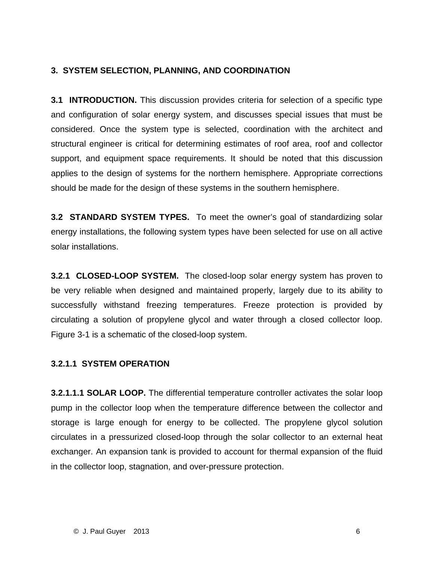#### **3. SYSTEM SELECTION, PLANNING, AND COORDINATION**

**3.1 INTRODUCTION.** This discussion provides criteria for selection of a specific type and configuration of solar energy system, and discusses special issues that must be considered. Once the system type is selected, coordination with the architect and structural engineer is critical for determining estimates of roof area, roof and collector support, and equipment space requirements. It should be noted that this discussion applies to the design of systems for the northern hemisphere. Appropriate corrections should be made for the design of these systems in the southern hemisphere.

**3.2 STANDARD SYSTEM TYPES.** To meet the owner's goal of standardizing solar energy installations, the following system types have been selected for use on all active solar installations.

**3.2.1 CLOSED-LOOP SYSTEM.** The closed-loop solar energy system has proven to be very reliable when designed and maintained properly, largely due to its ability to successfully withstand freezing temperatures. Freeze protection is provided by circulating a solution of propylene glycol and water through a closed collector loop. Figure 3-1 is a schematic of the closed-loop system.

#### **3.2.1.1 SYSTEM OPERATION**

**3.2.1.1.1 SOLAR LOOP.** The differential temperature controller activates the solar loop pump in the collector loop when the temperature difference between the collector and storage is large enough for energy to be collected. The propylene glycol solution circulates in a pressurized closed-loop through the solar collector to an external heat exchanger. An expansion tank is provided to account for thermal expansion of the fluid in the collector loop, stagnation, and over-pressure protection.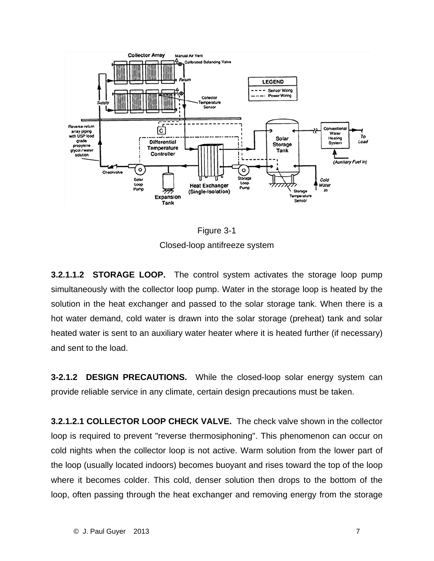



**3.2.1.1.2 STORAGE LOOP.** The control system activates the storage loop pump simultaneously with the collector loop pump. Water in the storage loop is heated by the solution in the heat exchanger and passed to the solar storage tank. When there is a hot water demand, cold water is drawn into the solar storage (preheat) tank and solar heated water is sent to an auxiliary water heater where it is heated further (if necessary) and sent to the load.

**3-2.1.2 DESIGN PRECAUTIONS.** While the closed-loop solar energy system can provide reliable service in any climate, certain design precautions must be taken.

**3.2.1.2.1 COLLECTOR LOOP CHECK VALVE.** The check valve shown in the collector loop is required to prevent "reverse thermosiphoning". This phenomenon can occur on cold nights when the collector loop is not active. Warm solution from the lower part of the loop (usually located indoors) becomes buoyant and rises toward the top of the loop where it becomes colder. This cold, denser solution then drops to the bottom of the loop, often passing through the heat exchanger and removing energy from the storage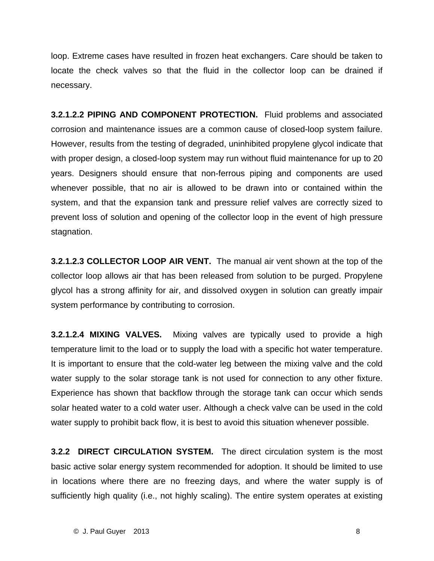loop. Extreme cases have resulted in frozen heat exchangers. Care should be taken to locate the check valves so that the fluid in the collector loop can be drained if necessary.

**3.2.1.2.2 PIPING AND COMPONENT PROTECTION.** Fluid problems and associated corrosion and maintenance issues are a common cause of closed-loop system failure. However, results from the testing of degraded, uninhibited propylene glycol indicate that with proper design, a closed-loop system may run without fluid maintenance for up to 20 years. Designers should ensure that non-ferrous piping and components are used whenever possible, that no air is allowed to be drawn into or contained within the system, and that the expansion tank and pressure relief valves are correctly sized to prevent loss of solution and opening of the collector loop in the event of high pressure stagnation.

**3.2.1.2.3 COLLECTOR LOOP AIR VENT.** The manual air vent shown at the top of the collector loop allows air that has been released from solution to be purged. Propylene glycol has a strong affinity for air, and dissolved oxygen in solution can greatly impair system performance by contributing to corrosion.

**3.2.1.2.4 MIXING VALVES.** Mixing valves are typically used to provide a high temperature limit to the load or to supply the load with a specific hot water temperature. It is important to ensure that the cold-water leg between the mixing valve and the cold water supply to the solar storage tank is not used for connection to any other fixture. Experience has shown that backflow through the storage tank can occur which sends solar heated water to a cold water user. Although a check valve can be used in the cold water supply to prohibit back flow, it is best to avoid this situation whenever possible.

**3.2.2 DIRECT CIRCULATION SYSTEM.** The direct circulation system is the most basic active solar energy system recommended for adoption. It should be limited to use in locations where there are no freezing days, and where the water supply is of sufficiently high quality (i.e., not highly scaling). The entire system operates at existing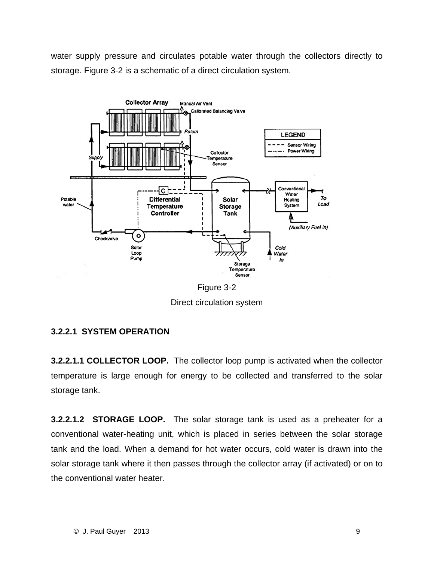water supply pressure and circulates potable water through the collectors directly to storage. Figure 3-2 is a schematic of a direct circulation system.



Figure 3-2 Direct circulation system

#### **3.2.2.1 SYSTEM OPERATION**

**3.2.2.1.1 COLLECTOR LOOP.** The collector loop pump is activated when the collector temperature is large enough for energy to be collected and transferred to the solar storage tank.

**3.2.2.1.2 STORAGE LOOP.** The solar storage tank is used as a preheater for a conventional water-heating unit, which is placed in series between the solar storage tank and the load. When a demand for hot water occurs, cold water is drawn into the solar storage tank where it then passes through the collector array (if activated) or on to the conventional water heater.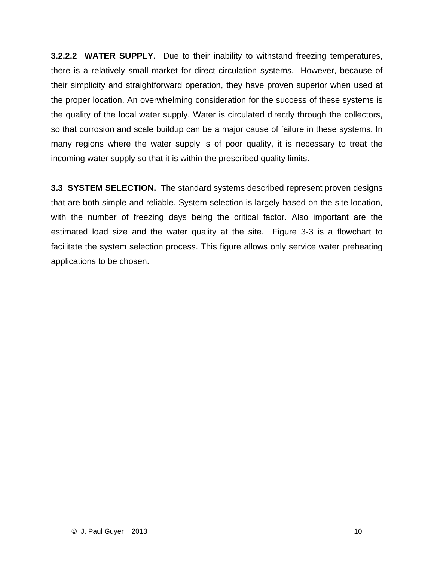**3.2.2.2 WATER SUPPLY.** Due to their inability to withstand freezing temperatures, there is a relatively small market for direct circulation systems. However, because of their simplicity and straightforward operation, they have proven superior when used at the proper location. An overwhelming consideration for the success of these systems is the quality of the local water supply. Water is circulated directly through the collectors, so that corrosion and scale buildup can be a major cause of failure in these systems. In many regions where the water supply is of poor quality, it is necessary to treat the incoming water supply so that it is within the prescribed quality limits.

**3.3 SYSTEM SELECTION.** The standard systems described represent proven designs that are both simple and reliable. System selection is largely based on the site location, with the number of freezing days being the critical factor. Also important are the estimated load size and the water quality at the site. Figure 3-3 is a flowchart to facilitate the system selection process. This figure allows only service water preheating applications to be chosen.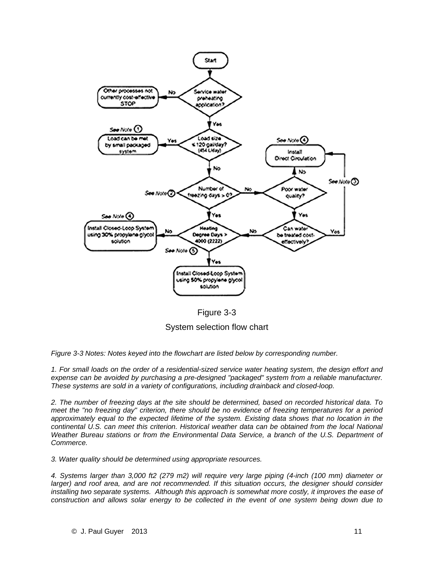

Figure 3-3

System selection flow chart

*Figure 3-3 Notes: Notes keyed into the flowchart are listed below by corresponding number.* 

*1. For small loads on the order of a residential-sized service water heating system, the design effort and expense can be avoided by purchasing a pre-designed "packaged" system from a reliable manufacturer. These systems are sold in a variety of configurations, including drainback and closed-loop.* 

*2. The number of freezing days at the site should be determined, based on recorded historical data. To meet the "no freezing day" criterion, there should be no evidence of freezing temperatures for a period approximately equal to the expected lifetime of the system. Existing data shows that no location in the continental U.S. can meet this criterion. Historical weather data can be obtained from the local National Weather Bureau stations or from the Environmental Data Service, a branch of the U.S. Department of Commerce.* 

*3. Water quality should be determined using appropriate resources.* 

*4. Systems larger than 3,000 ft2 (279 m2) will require very large piping (4-inch (100 mm) diameter or larger*) and roof area, and are not recommended. If this situation occurs, the designer should consider *installing two separate systems. Although this approach is somewhat more costly, it improves the ease of construction and allows solar energy to be collected in the event of one system being down due to*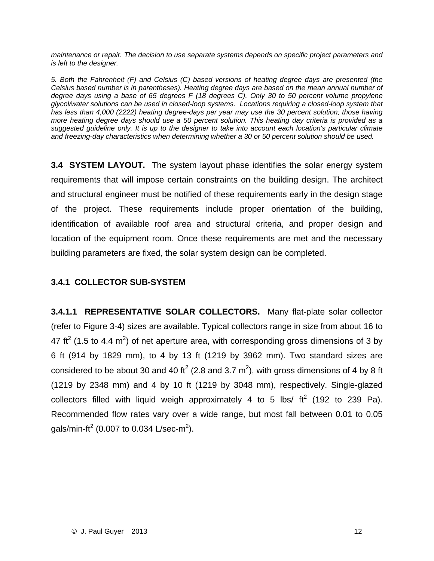*maintenance or repair. The decision to use separate systems depends on specific project parameters and is left to the designer.* 

*5. Both the Fahrenheit (F) and Celsius (C) based versions of heating degree days are presented (the Celsius based number is in parentheses). Heating degree days are based on the mean annual number of degree days using a base of 65 degrees F (18 degrees C). Only 30 to 50 percent volume propylene glycol/water solutions can be used in closed-loop systems. Locations requiring a closed-loop system that has less than 4,000 (2222) heating degree-days per year may use the 30 percent solution; those having more heating degree days should use a 50 percent solution. This heating day criteria is provided as a suggested guideline only. It is up to the designer to take into account each location's particular climate and freezing-day characteristics when determining whether a 30 or 50 percent solution should be used.* 

**3.4 SYSTEM LAYOUT.** The system layout phase identifies the solar energy system requirements that will impose certain constraints on the building design. The architect and structural engineer must be notified of these requirements early in the design stage of the project. These requirements include proper orientation of the building, identification of available roof area and structural criteria, and proper design and location of the equipment room. Once these requirements are met and the necessary building parameters are fixed, the solar system design can be completed.

#### **3.4.1 COLLECTOR SUB-SYSTEM**

**3.4.1.1 REPRESENTATIVE SOLAR COLLECTORS.** Many flat-plate solar collector (refer to Figure 3-4) sizes are available. Typical collectors range in size from about 16 to 47 ft<sup>2</sup> (1.5 to 4.4 m<sup>2</sup>) of net aperture area, with corresponding gross dimensions of 3 by 6 ft (914 by 1829 mm), to 4 by 13 ft (1219 by 3962 mm). Two standard sizes are considered to be about 30 and 40 ft<sup>2</sup> (2.8 and 3.7 m<sup>2</sup>), with gross dimensions of 4 by 8 ft (1219 by 2348 mm) and 4 by 10 ft (1219 by 3048 mm), respectively. Single-glazed collectors filled with liquid weigh approximately 4 to 5 lbs/  $\text{ft}^2$  (192 to 239 Pa). Recommended flow rates vary over a wide range, but most fall between 0.01 to 0.05 gals/min-ft $^2$  (0.007 to 0.034 L/sec-m $^2$ ).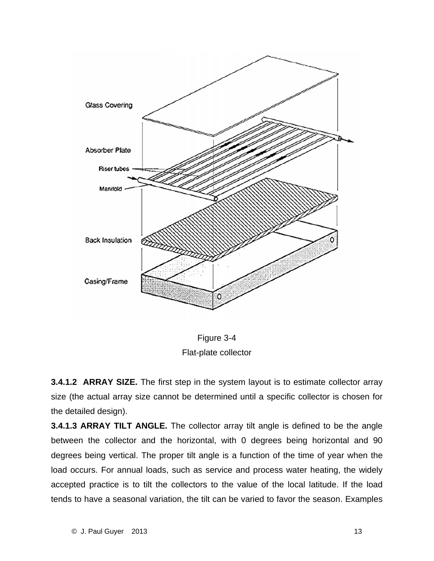

Figure 3-4 Flat-plate collector

**3.4.1.2 ARRAY SIZE.** The first step in the system layout is to estimate collector array size (the actual array size cannot be determined until a specific collector is chosen for the detailed design).

**3.4.1.3 ARRAY TILT ANGLE.** The collector array tilt angle is defined to be the angle between the collector and the horizontal, with 0 degrees being horizontal and 90 degrees being vertical. The proper tilt angle is a function of the time of year when the load occurs. For annual loads, such as service and process water heating, the widely accepted practice is to tilt the collectors to the value of the local latitude. If the load tends to have a seasonal variation, the tilt can be varied to favor the season. Examples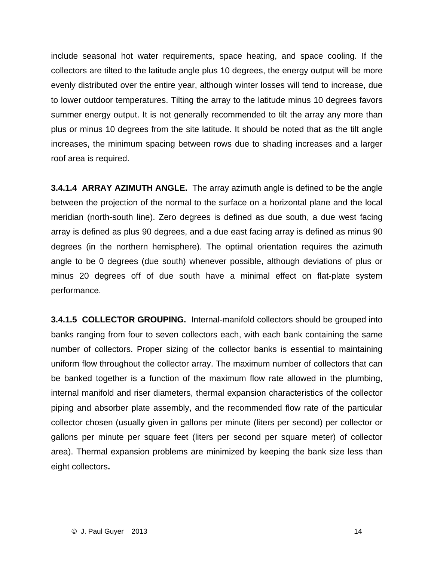include seasonal hot water requirements, space heating, and space cooling. If the collectors are tilted to the latitude angle plus 10 degrees, the energy output will be more evenly distributed over the entire year, although winter losses will tend to increase, due to lower outdoor temperatures. Tilting the array to the latitude minus 10 degrees favors summer energy output. It is not generally recommended to tilt the array any more than plus or minus 10 degrees from the site latitude. It should be noted that as the tilt angle increases, the minimum spacing between rows due to shading increases and a larger roof area is required.

**3.4.1.4 ARRAY AZIMUTH ANGLE.** The array azimuth angle is defined to be the angle between the projection of the normal to the surface on a horizontal plane and the local meridian (north-south line). Zero degrees is defined as due south, a due west facing array is defined as plus 90 degrees, and a due east facing array is defined as minus 90 degrees (in the northern hemisphere). The optimal orientation requires the azimuth angle to be 0 degrees (due south) whenever possible, although deviations of plus or minus 20 degrees off of due south have a minimal effect on flat-plate system performance.

**3.4.1.5 COLLECTOR GROUPING.** Internal-manifold collectors should be grouped into banks ranging from four to seven collectors each, with each bank containing the same number of collectors. Proper sizing of the collector banks is essential to maintaining uniform flow throughout the collector array. The maximum number of collectors that can be banked together is a function of the maximum flow rate allowed in the plumbing, internal manifold and riser diameters, thermal expansion characteristics of the collector piping and absorber plate assembly, and the recommended flow rate of the particular collector chosen (usually given in gallons per minute (liters per second) per collector or gallons per minute per square feet (liters per second per square meter) of collector area). Thermal expansion problems are minimized by keeping the bank size less than eight collectors**.**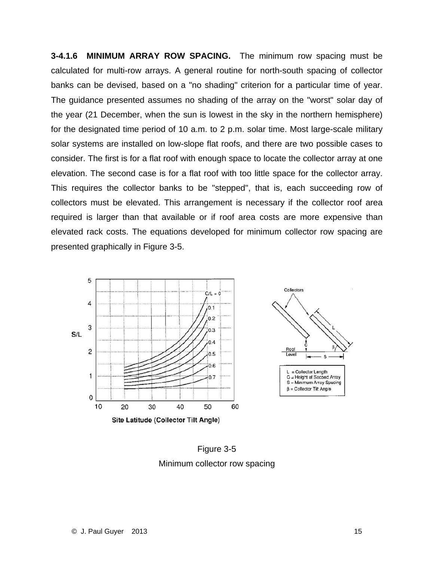**3-4.1.6 MINIMUM ARRAY ROW SPACING.** The minimum row spacing must be calculated for multi-row arrays. A general routine for north-south spacing of collector banks can be devised, based on a "no shading" criterion for a particular time of year. The guidance presented assumes no shading of the array on the "worst" solar day of the year (21 December, when the sun is lowest in the sky in the northern hemisphere) for the designated time period of 10 a.m. to 2 p.m. solar time. Most large-scale military solar systems are installed on low-slope flat roofs, and there are two possible cases to consider. The first is for a flat roof with enough space to locate the collector array at one elevation. The second case is for a flat roof with too little space for the collector array. This requires the collector banks to be "stepped", that is, each succeeding row of collectors must be elevated. This arrangement is necessary if the collector roof area required is larger than that available or if roof area costs are more expensive than elevated rack costs. The equations developed for minimum collector row spacing are presented graphically in Figure 3-5.



Figure 3-5 Minimum collector row spacing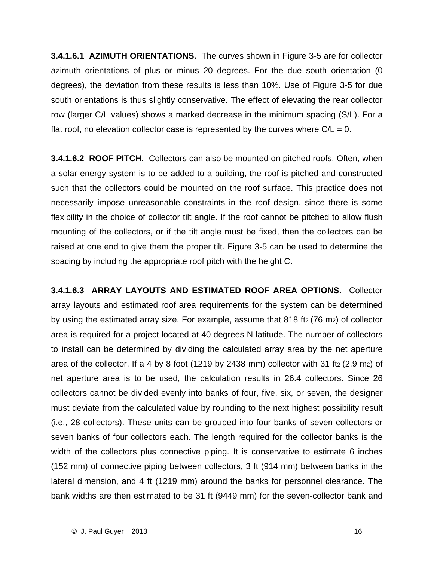**3.4.1.6.1 AZIMUTH ORIENTATIONS.** The curves shown in Figure 3-5 are for collector azimuth orientations of plus or minus 20 degrees. For the due south orientation (0 degrees), the deviation from these results is less than 10%. Use of Figure 3-5 for due south orientations is thus slightly conservative. The effect of elevating the rear collector row (larger C/L values) shows a marked decrease in the minimum spacing (S/L). For a flat roof, no elevation collector case is represented by the curves where  $C/L = 0$ .

**3.4.1.6.2 ROOF PITCH.** Collectors can also be mounted on pitched roofs. Often, when a solar energy system is to be added to a building, the roof is pitched and constructed such that the collectors could be mounted on the roof surface. This practice does not necessarily impose unreasonable constraints in the roof design, since there is some flexibility in the choice of collector tilt angle. If the roof cannot be pitched to allow flush mounting of the collectors, or if the tilt angle must be fixed, then the collectors can be raised at one end to give them the proper tilt. Figure 3-5 can be used to determine the spacing by including the appropriate roof pitch with the height C.

**3.4.1.6.3 ARRAY LAYOUTS AND ESTIMATED ROOF AREA OPTIONS.** Collector array layouts and estimated roof area requirements for the system can be determined by using the estimated array size. For example, assume that 818 ft<sub>2</sub> (76 m<sub>2</sub>) of collector area is required for a project located at 40 degrees N latitude. The number of collectors to install can be determined by dividing the calculated array area by the net aperture area of the collector. If a 4 by 8 foot (1219 by 2438 mm) collector with 31 ft $_2$  (2.9 m<sub>2</sub>) of net aperture area is to be used, the calculation results in 26.4 collectors. Since 26 collectors cannot be divided evenly into banks of four, five, six, or seven, the designer must deviate from the calculated value by rounding to the next highest possibility result (i.e., 28 collectors). These units can be grouped into four banks of seven collectors or seven banks of four collectors each. The length required for the collector banks is the width of the collectors plus connective piping. It is conservative to estimate 6 inches (152 mm) of connective piping between collectors, 3 ft (914 mm) between banks in the lateral dimension, and 4 ft (1219 mm) around the banks for personnel clearance. The bank widths are then estimated to be 31 ft (9449 mm) for the seven-collector bank and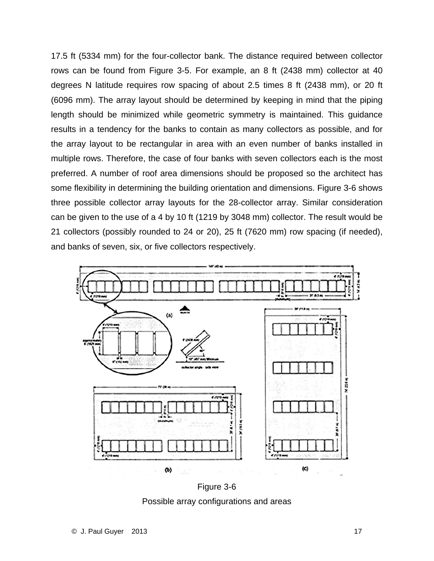17.5 ft (5334 mm) for the four-collector bank. The distance required between collector rows can be found from Figure 3-5. For example, an 8 ft (2438 mm) collector at 40 degrees N latitude requires row spacing of about 2.5 times 8 ft (2438 mm), or 20 ft (6096 mm). The array layout should be determined by keeping in mind that the piping length should be minimized while geometric symmetry is maintained. This guidance results in a tendency for the banks to contain as many collectors as possible, and for the array layout to be rectangular in area with an even number of banks installed in multiple rows. Therefore, the case of four banks with seven collectors each is the most preferred. A number of roof area dimensions should be proposed so the architect has some flexibility in determining the building orientation and dimensions. Figure 3-6 shows three possible collector array layouts for the 28-collector array. Similar consideration can be given to the use of a 4 by 10 ft (1219 by 3048 mm) collector. The result would be 21 collectors (possibly rounded to 24 or 20), 25 ft (7620 mm) row spacing (if needed), and banks of seven, six, or five collectors respectively.



Figure 3-6 Possible array configurations and areas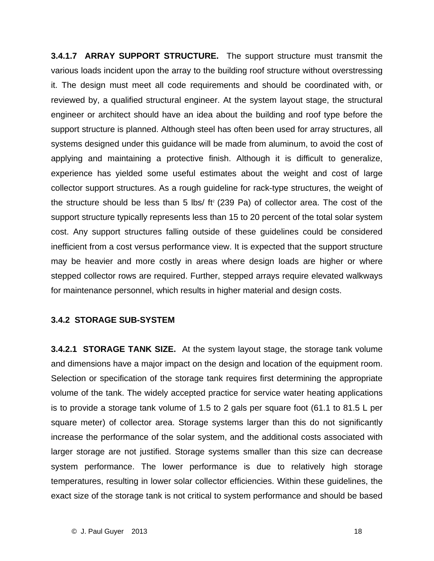**3.4.1.7 ARRAY SUPPORT STRUCTURE.** The support structure must transmit the various loads incident upon the array to the building roof structure without overstressing it. The design must meet all code requirements and should be coordinated with, or reviewed by, a qualified structural engineer. At the system layout stage, the structural engineer or architect should have an idea about the building and roof type before the support structure is planned. Although steel has often been used for array structures, all systems designed under this guidance will be made from aluminum, to avoid the cost of applying and maintaining a protective finish. Although it is difficult to generalize, experience has yielded some useful estimates about the weight and cost of large collector support structures. As a rough guideline for rack-type structures, the weight of the structure should be less than 5 lbs/  $ft^2$  (239 Pa) of collector area. The cost of the support structure typically represents less than 15 to 20 percent of the total solar system cost. Any support structures falling outside of these guidelines could be considered inefficient from a cost versus performance view. It is expected that the support structure may be heavier and more costly in areas where design loads are higher or where stepped collector rows are required. Further, stepped arrays require elevated walkways for maintenance personnel, which results in higher material and design costs.

#### **3.4.2 STORAGE SUB-SYSTEM**

**3.4.2.1 STORAGE TANK SIZE.** At the system layout stage, the storage tank volume and dimensions have a major impact on the design and location of the equipment room. Selection or specification of the storage tank requires first determining the appropriate volume of the tank. The widely accepted practice for service water heating applications is to provide a storage tank volume of 1.5 to 2 gals per square foot (61.1 to 81.5 L per square meter) of collector area. Storage systems larger than this do not significantly increase the performance of the solar system, and the additional costs associated with larger storage are not justified. Storage systems smaller than this size can decrease system performance. The lower performance is due to relatively high storage temperatures, resulting in lower solar collector efficiencies. Within these guidelines, the exact size of the storage tank is not critical to system performance and should be based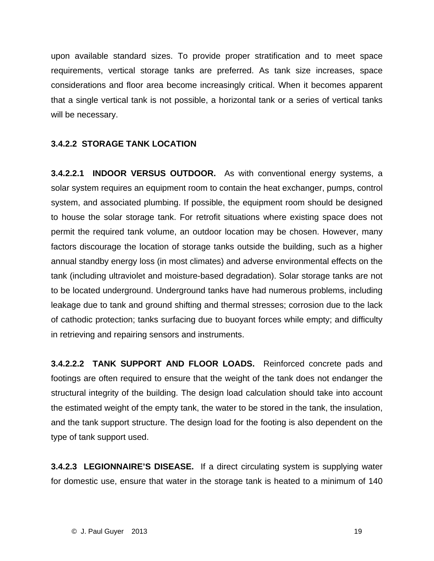upon available standard sizes. To provide proper stratification and to meet space requirements, vertical storage tanks are preferred. As tank size increases, space considerations and floor area become increasingly critical. When it becomes apparent that a single vertical tank is not possible, a horizontal tank or a series of vertical tanks will be necessary.

#### **3.4.2.2 STORAGE TANK LOCATION**

**3.4.2.2.1 INDOOR VERSUS OUTDOOR.** As with conventional energy systems, a solar system requires an equipment room to contain the heat exchanger, pumps, control system, and associated plumbing. If possible, the equipment room should be designed to house the solar storage tank. For retrofit situations where existing space does not permit the required tank volume, an outdoor location may be chosen. However, many factors discourage the location of storage tanks outside the building, such as a higher annual standby energy loss (in most climates) and adverse environmental effects on the tank (including ultraviolet and moisture-based degradation). Solar storage tanks are not to be located underground. Underground tanks have had numerous problems, including leakage due to tank and ground shifting and thermal stresses; corrosion due to the lack of cathodic protection; tanks surfacing due to buoyant forces while empty; and difficulty in retrieving and repairing sensors and instruments.

**3.4.2.2.2 TANK SUPPORT AND FLOOR LOADS.** Reinforced concrete pads and footings are often required to ensure that the weight of the tank does not endanger the structural integrity of the building. The design load calculation should take into account the estimated weight of the empty tank, the water to be stored in the tank, the insulation, and the tank support structure. The design load for the footing is also dependent on the type of tank support used.

**3.4.2.3 LEGIONNAIRE'S DISEASE.** If a direct circulating system is supplying water for domestic use, ensure that water in the storage tank is heated to a minimum of 140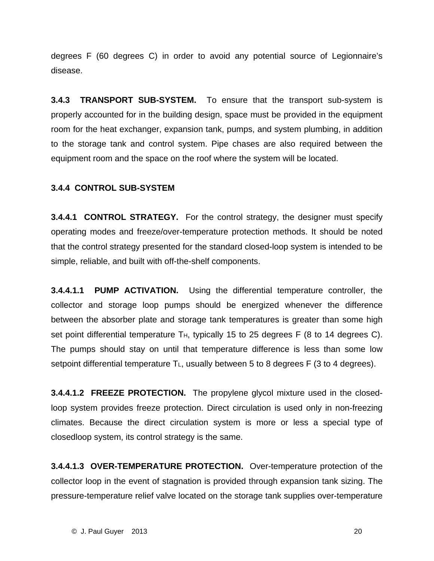degrees F (60 degrees C) in order to avoid any potential source of Legionnaire's disease.

**3.4.3 TRANSPORT SUB-SYSTEM.** To ensure that the transport sub-system is properly accounted for in the building design, space must be provided in the equipment room for the heat exchanger, expansion tank, pumps, and system plumbing, in addition to the storage tank and control system. Pipe chases are also required between the equipment room and the space on the roof where the system will be located.

#### **3.4.4 CONTROL SUB-SYSTEM**

**3.4.4.1 CONTROL STRATEGY.** For the control strategy, the designer must specify operating modes and freeze/over-temperature protection methods. It should be noted that the control strategy presented for the standard closed-loop system is intended to be simple, reliable, and built with off-the-shelf components.

**3.4.4.1.1 PUMP ACTIVATION.** Using the differential temperature controller, the collector and storage loop pumps should be energized whenever the difference between the absorber plate and storage tank temperatures is greater than some high set point differential temperature T<sub>H</sub>, typically 15 to 25 degrees F (8 to 14 degrees C). The pumps should stay on until that temperature difference is less than some low setpoint differential temperature  $T_L$ , usually between 5 to 8 degrees F (3 to 4 degrees).

**3.4.4.1.2 FREEZE PROTECTION.** The propylene glycol mixture used in the closedloop system provides freeze protection. Direct circulation is used only in non-freezing climates. Because the direct circulation system is more or less a special type of closedloop system, its control strategy is the same.

**3.4.4.1.3 OVER-TEMPERATURE PROTECTION.** Over-temperature protection of the collector loop in the event of stagnation is provided through expansion tank sizing. The pressure-temperature relief valve located on the storage tank supplies over-temperature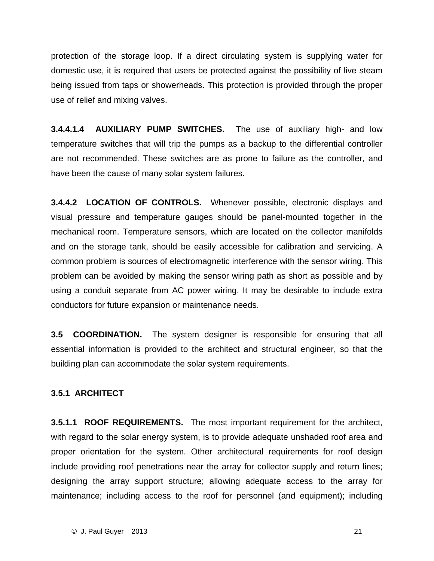protection of the storage loop. If a direct circulating system is supplying water for domestic use, it is required that users be protected against the possibility of live steam being issued from taps or showerheads. This protection is provided through the proper use of relief and mixing valves.

**3.4.4.1.4 AUXILIARY PUMP SWITCHES.** The use of auxiliary high- and low temperature switches that will trip the pumps as a backup to the differential controller are not recommended. These switches are as prone to failure as the controller, and have been the cause of many solar system failures.

**3.4.4.2 LOCATION OF CONTROLS.** Whenever possible, electronic displays and visual pressure and temperature gauges should be panel-mounted together in the mechanical room. Temperature sensors, which are located on the collector manifolds and on the storage tank, should be easily accessible for calibration and servicing. A common problem is sources of electromagnetic interference with the sensor wiring. This problem can be avoided by making the sensor wiring path as short as possible and by using a conduit separate from AC power wiring. It may be desirable to include extra conductors for future expansion or maintenance needs.

**3.5 COORDINATION.** The system designer is responsible for ensuring that all essential information is provided to the architect and structural engineer, so that the building plan can accommodate the solar system requirements.

#### **3.5.1 ARCHITECT**

**3.5.1.1 ROOF REQUIREMENTS.** The most important requirement for the architect, with regard to the solar energy system, is to provide adequate unshaded roof area and proper orientation for the system. Other architectural requirements for roof design include providing roof penetrations near the array for collector supply and return lines; designing the array support structure; allowing adequate access to the array for maintenance; including access to the roof for personnel (and equipment); including